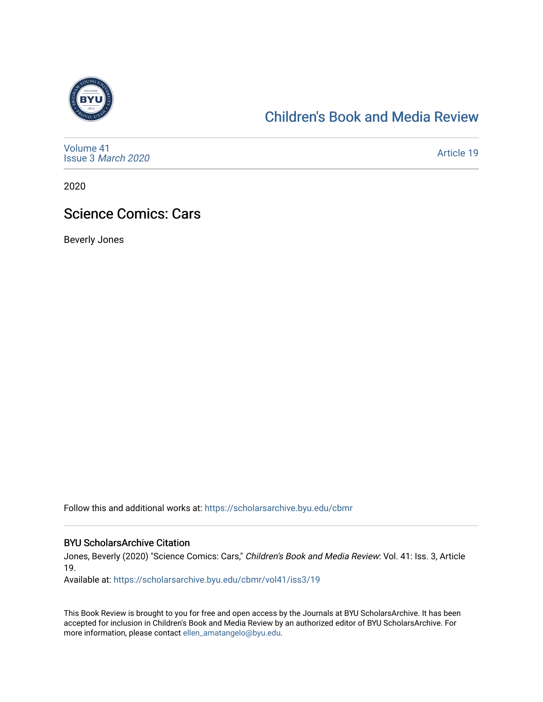

## [Children's Book and Media Review](https://scholarsarchive.byu.edu/cbmr)

[Volume 41](https://scholarsarchive.byu.edu/cbmr/vol41) Issue 3 [March 2020](https://scholarsarchive.byu.edu/cbmr/vol41/iss3)

[Article 19](https://scholarsarchive.byu.edu/cbmr/vol41/iss3/19) 

2020

### Science Comics: Cars

Beverly Jones

Follow this and additional works at: [https://scholarsarchive.byu.edu/cbmr](https://scholarsarchive.byu.edu/cbmr?utm_source=scholarsarchive.byu.edu%2Fcbmr%2Fvol41%2Fiss3%2F19&utm_medium=PDF&utm_campaign=PDFCoverPages) 

#### BYU ScholarsArchive Citation

Jones, Beverly (2020) "Science Comics: Cars," Children's Book and Media Review: Vol. 41: Iss. 3, Article 19.

Available at: [https://scholarsarchive.byu.edu/cbmr/vol41/iss3/19](https://scholarsarchive.byu.edu/cbmr/vol41/iss3/19?utm_source=scholarsarchive.byu.edu%2Fcbmr%2Fvol41%2Fiss3%2F19&utm_medium=PDF&utm_campaign=PDFCoverPages)

This Book Review is brought to you for free and open access by the Journals at BYU ScholarsArchive. It has been accepted for inclusion in Children's Book and Media Review by an authorized editor of BYU ScholarsArchive. For more information, please contact [ellen\\_amatangelo@byu.edu.](mailto:ellen_amatangelo@byu.edu)